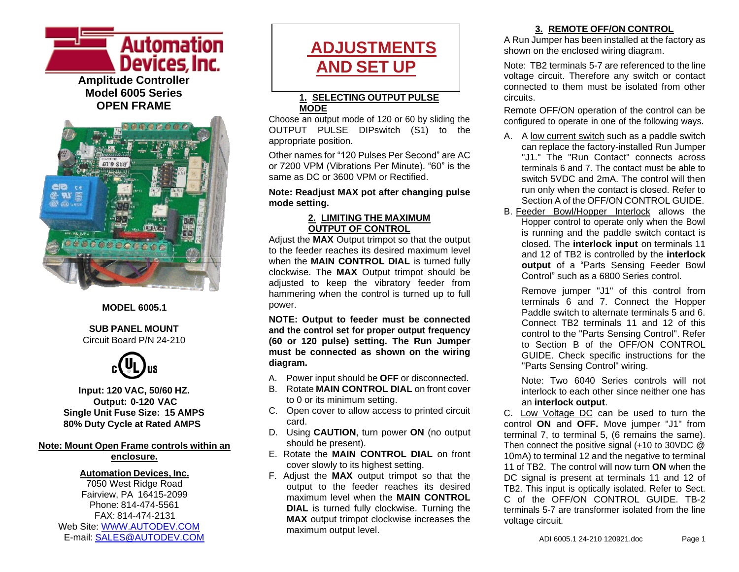



#### **MODEL 6005.1**

#### **SUB PANEL MOUNT** Circuit Board P/N 24-210



**Input: 120 VAC, 50/60 HZ. Output: 0-120 VAC Single Unit Fuse Size: 15 AMPS 80% Duty Cycle at Rated AMPS**

#### **Note: Mount Open Frame controls within an enclosure.**

### **Automation Devices, Inc.**

7050 West Ridge Road Fairview, PA 16415-2099 Phone: 814-474-5561 FAX: 814-474-2131 Web Site: [WWW.AUTODEV.COM](http://www.autodev.com/) E-mail: [SALES@AUTODEV.COM](mailto:SALES@AUTODEV.COM)

# **ADJUSTMENTS AND SET UP**

#### **1. SELECTING OUTPUT PULSE MODE**

Choose an output mode of 120 or 60 by sliding the OUTPUT PULSE DIPswitch (S1) to the appropriate position.

Other names for "120 Pulses Per Second" are AC or 7200 VPM (Vibrations Per Minute). "60" is the same as DC or 3600 VPM or Rectified.

#### **Note: Readjust MAX pot after changing pulse mode setting.**

#### **2. LIMITING THE MAXIMUM OUTPUT OF CONTROL**

Adjust the **MAX** Output trimpot so that the output to the feeder reaches its desired maximum level when the **MAIN CONTROL DIAL** is turned fully clockwise. The **MAX** Output trimpot should be adjusted to keep the vibratory feeder from hammering when the control is turned up to full power.

**NOTE: Output to feeder must be connected and the control set for proper output frequency (60 or 120 pulse) setting. The Run Jumper must be connected as shown on the wiring diagram.**

- A. Power input should be **OFF** or disconnected.
- B. Rotate **MAIN CONTROL DIAL** on front cover to 0 or its minimum setting.
- C. Open cover to allow access to printed circuit card.
- D. Using **CAUTION**, turn power **ON** (no output should be present).
- E. Rotate the **MAIN CONTROL DIAL** on front cover slowly to its highest setting.
- F. Adjust the **MAX** output trimpot so that the output to the feeder reaches its desired maximum level when the **MAIN CONTROL DIAL** is turned fully clockwise. Turning the **MAX** output trimpot clockwise increases the maximum output level.

#### **3. REMOTE OFF/ON CONTROL**

A Run Jumper has been installed at the factory as shown on the enclosed wiring diagram.

Note: TB2 terminals 5-7 are referenced to the line voltage circuit. Therefore any switch or contact connected to them must be isolated from other circuits.

Remote OFF/ON operation of the control can be configured to operate in one of the following ways.

- A. A low current switch such as a paddle switch can replace the factory-installed Run Jumper "J1." The "Run Contact" connects across terminals 6 and 7. The contact must be able to switch 5VDC and 2mA. The control will then run only when the contact is closed. Refer to Section A of the OFF/ON CONTROL GUIDE.
- B. Feeder Bowl/Hopper Interlock allows the Hopper control to operate only when the Bowl is running and the paddle switch contact is closed. The **interlock input** on terminals 11 and 12 of TB2 is controlled by the **interlock output** of a "Parts Sensing Feeder Bowl Control" such as a 6800 Series control.

Remove jumper "J1" of this control from terminals 6 and 7. Connect the Hopper Paddle switch to alternate terminals 5 and 6. Connect TB2 terminals 11 and 12 of this control to the "Parts Sensing Control". Refer to Section B of the OFF/ON CONTROL GUIDE. Check specific instructions for the "Parts Sensing Control" wiring.

Note: Two 6040 Series controls will not interlock to each other since neither one has an **interlock output**.

C. Low Voltage DC can be used to turn the control **ON** and **OFF.** Move jumper "J1" from terminal 7, to terminal 5, (6 remains the same). Then connect the positive signal (+10 to 30VDC @ 10mA) to terminal 12 and the negative to terminal 11 of TB2. The control will now turn **ON** when the DC signal is present at terminals 11 and 12 of TB2. This input is optically isolated. Refer to Sect. C of the OFF/ON CONTROL GUIDE TB-2 terminals 5-7 are transformer isolated from the line voltage circuit.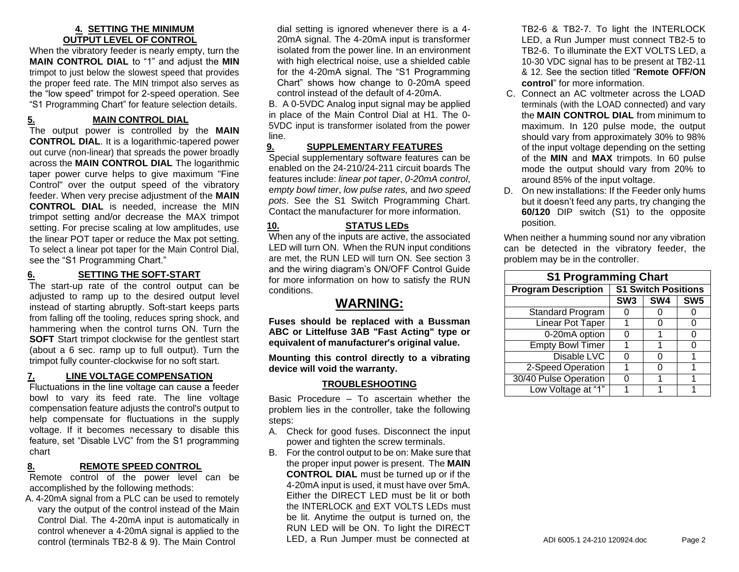#### **4. SETTING THE MINIMUM OUTPUT LEVEL OF CONTROL**

When the vibratory feeder is nearly empty, turn the **MAIN CONTROL DIAL** to "1" and adjust the **MIN** trimpot to just below the slowest speed that provides the proper feed rate. The MIN trimpot also serves as the "low speed" trimpot for 2-speed operation. See "S1 Programming Chart" for feature selection details.

#### **5. MAIN CONTROL DIAL**

The output power is controlled by the **MAIN CONTROL DIAL**. It is a logarithmic-tapered power out curve (non-linear) that spreads the power broadly across the **MAIN CONTROL DIAL** The logarithmic taper power curve helps to give maximum "Fine Control" over the output speed of the vibratory feeder. When very precise adjustment of the **MAIN CONTROL DIAL** is needed, increase the MIN trimpot setting and/or decrease the MAX trimpot setting. For precise scaling at low amplitudes, use the linear POT taper or reduce the Max pot setting. To select a linear pot taper for the Main Control Dial, see the "S1 Programming Chart."

#### **6. SETTING THE SOFT-START**

The start-up rate of the control output can be adjusted to ramp up to the desired output level instead of starting abruptly. Soft-start keeps parts from falling off the tooling, reduces spring shock, and hammering when the control turns ON. Turn the **SOFT** Start trimpot clockwise for the gentlest start (about a 6 sec. ramp up to full output). Turn the trimpot fully counter-clockwise for no soft start.

#### **7. LINE VOLTAGE COMPENSATION**

Fluctuations in the line voltage can cause a feeder bowl to vary its feed rate. The line voltage compensation feature adjusts the control's output to help compensate for fluctuations in the supply voltage. If it becomes necessary to disable this feature, set "Disable LVC" from the S1 programming chart

#### **8. REMOTE SPEED CONTROL**

Remote control of the power level can be accomplished by the following methods:

A. 4-20mA signal from a PLC can be used to remotely vary the output of the control instead of the Main Control Dial. The 4-20mA input is automatically in control whenever a 4-20mA signal is applied to the control (terminals TB2-8 & 9). The Main Control

dial setting is ignored whenever there is a 4- 20mA signal. The 4-20mA input is transformer isolated from the power line. In an environment with high electrical noise, use a shielded cable for the 4-20mA signal. The "S1 Programming Chart" shows how change to 0-20mA speed control instead of the default of 4-20mA.

B. A 0-5VDC Analog input signal may be applied in place of the Main Control Dial at H1. The 0- 5VDC input is transformer isolated from the power line.

#### **9. SUPPLEMENTARY FEATURES**

Special supplementary software features can be enabled on the 24-210/24-211 circuit boards The features include: *linear pot taper*, *0-20mA control*, e*mpty bowl timer*, *low pulse rates,* and *two speed pots*. See the S1 Switch Programming Chart. Contact the manufacturer for more information.

#### **10. STATUS LEDs**

When any of the inputs are active, the associated LED will turn ON. When the RUN input conditions are met, the RUN LED will turn ON. See section 3 and the wiring diagram's ON/OFF Control Guide for more information on how to satisfy the RUN conditions.

#### **WARNING:**

**Fuses should be replaced with a Bussman ABC or Littelfuse 3AB "Fast Acting" type or equivalent of manufacturer's original value.**

**Mounting this control directly to a vibrating device will void the warranty.**

#### **TROUBLESHOOTING**

Basic Procedure – To ascertain whether the problem lies in the controller, take the following steps:

- A. Check for good fuses. Disconnect the input power and tighten the screw terminals.
- B. For the control output to be on: Make sure that the proper input power is present. The **MAIN CONTROL DIAL** must be turned up or if the 4-20mA input is used, it must have over 5mA. Either the DIRECT LED must be lit or both the INTERLOCK and EXT VOLTS LEDs must be lit. Anytime the output is turned on, the RUN LED will be ON. To light the DIRECT LED, a Run Jumper must be connected at

TB2-6 & TB2-7. To light the INTERLOCK LED, a Run Jumper must connect TB2-5 to TB2-6. To illuminate the EXT VOLTS LED, a 10-30 VDC signal has to be present at TB2-11 & 12. See the section titled "**Remote OFF/ON control**" for more information.

- C. Connect an AC voltmeter across the LOAD terminals (with the LOAD connected) and vary the **MAIN CONTROL DIAL** from minimum to maximum. In 120 pulse mode, the output should vary from approximately 30% to 98% of the input voltage depending on the setting of the **MIN** and **MAX** trimpots. In 60 pulse mode the output should vary from 20% to around 85% of the input voltage.
- D. On new installations: If the Feeder only hums but it doesn't feed any parts, try changing the **60/120** DIP switch (S1) to the opposite position.

When neither a humming sound nor any vibration can be detected in the vibratory feeder, the problem may be in the controller.

| <b>S1 Programming Chart</b> |                            |     |                 |
|-----------------------------|----------------------------|-----|-----------------|
| <b>Program Description</b>  | <b>S1 Switch Positions</b> |     |                 |
|                             | SW <sub>3</sub>            | SW4 | SW <sub>5</sub> |
| Standard Program            |                            |     |                 |
| <b>Linear Pot Taper</b>     |                            |     | 0               |
| 0-20mA option               |                            |     | 0               |
| <b>Empty Bowl Timer</b>     |                            |     | ი               |
| Disable LVC                 |                            | 0   |                 |
| 2-Speed Operation           |                            | 0   |                 |
| 30/40 Pulse Operation       |                            |     |                 |
| Low Voltage at "1"          |                            |     |                 |